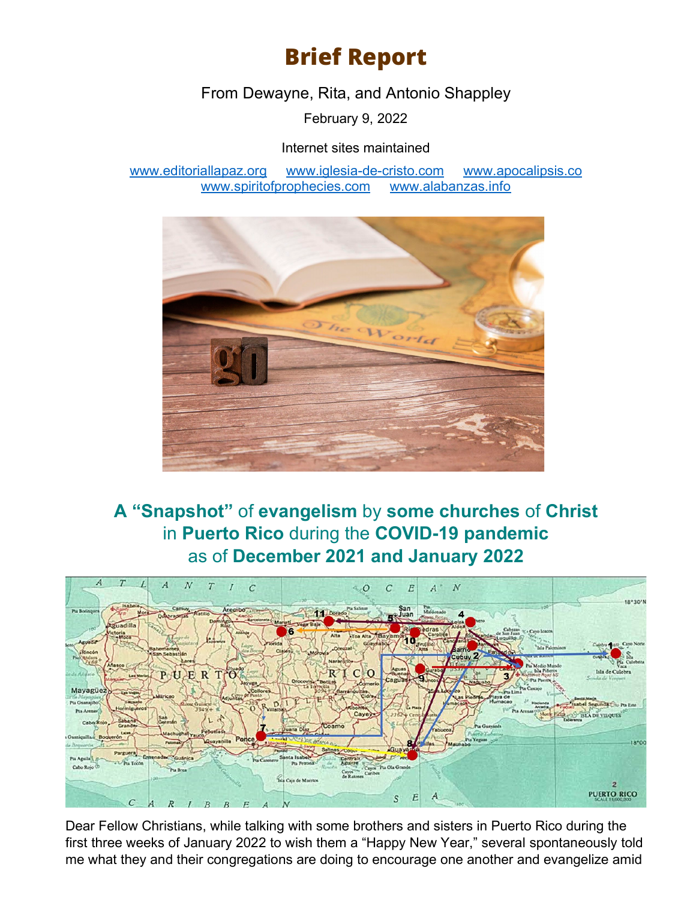## **Brief Report**

From Dewayne, Rita, and Antonio Shappley

February 9, 2022

Internet sites maintained

[www.editoriallapaz.org](http://www.editoriallapaz.org/) [www.iglesia-de-cristo.com](http://www.iglesia-de-cristo.com/) [www.apocalipsis.co](http://www.apocalipsis.co/)  [www.spiritofprophecies.com](http://www.spiritofprophecies.com/) [www.alabanzas.info](http://www.alabanzas.info/)



## **A "Snapshot"** of **evangelism** by **some churches** of **Christ**  in **Puerto Rico** during the **COVID-19 pandemic**  as of **December 2021 and January 2022**



Dear Fellow Christians, while talking with some brothers and sisters in Puerto Rico during the first three weeks of January 2022 to wish them a "Happy New Year," several spontaneously told me what they and their congregations are doing to encourage one another and evangelize amid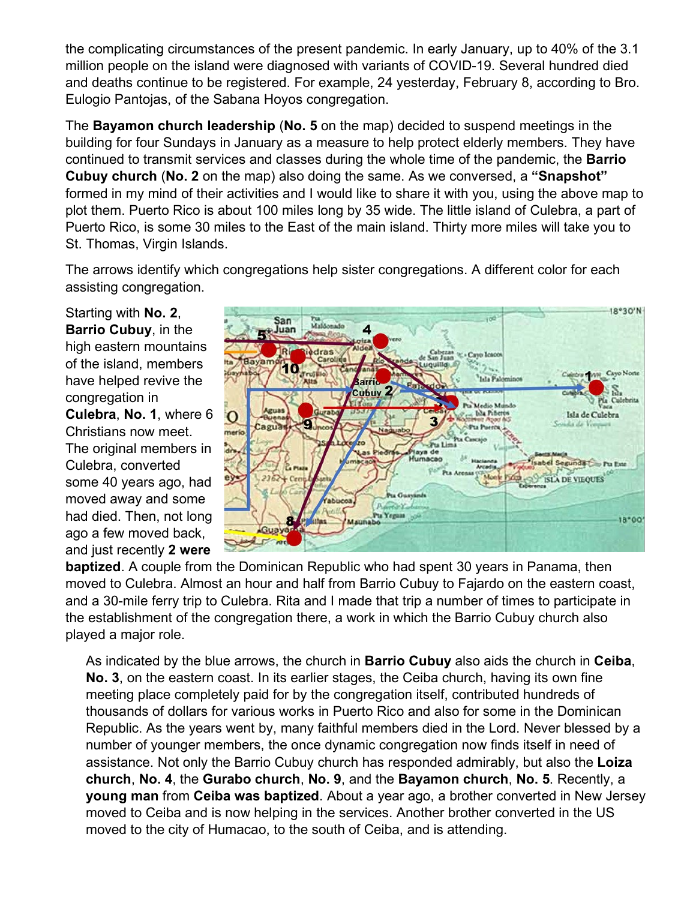the complicating circumstances of the present pandemic. In early January, up to 40% of the 3.1 million people on the island were diagnosed with variants of COVID-19. Several hundred died and deaths continue to be registered. For example, 24 yesterday, February 8, according to Bro. Eulogio Pantojas, of the Sabana Hoyos congregation.

The **Bayamon church leadership** (**No. 5** on the map) decided to suspend meetings in the building for four Sundays in January as a measure to help protect elderly members. They have continued to transmit services and classes during the whole time of the pandemic, the **Barrio Cubuy church** (**No. 2** on the map) also doing the same. As we conversed, a **"Snapshot"**  formed in my mind of their activities and I would like to share it with you, using the above map to plot them. Puerto Rico is about 100 miles long by 35 wide. The little island of Culebra, a part of Puerto Rico, is some 30 miles to the East of the main island. Thirty more miles will take you to St. Thomas, Virgin Islands.

The arrows identify which congregations help sister congregations. A different color for each assisting congregation.

Starting with **No. 2**, **Barrio Cubuy**, in the high eastern mountains of the island, members have helped revive the congregation in **Culebra**, **No. 1**, where 6 Christians now meet. The original members in Culebra, converted some 40 years ago, had moved away and some had died. Then, not long ago a few moved back, and just recently **2 were** 



**baptized**. A couple from the Dominican Republic who had spent 30 years in Panama, then moved to Culebra. Almost an hour and half from Barrio Cubuy to Fajardo on the eastern coast, and a 30-mile ferry trip to Culebra. Rita and I made that trip a number of times to participate in the establishment of the congregation there, a work in which the Barrio Cubuy church also played a major role.

As indicated by the blue arrows, the church in **Barrio Cubuy** also aids the church in **Ceiba**, **No. 3**, on the eastern coast. In its earlier stages, the Ceiba church, having its own fine meeting place completely paid for by the congregation itself, contributed hundreds of thousands of dollars for various works in Puerto Rico and also for some in the Dominican Republic. As the years went by, many faithful members died in the Lord. Never blessed by a number of younger members, the once dynamic congregation now finds itself in need of assistance. Not only the Barrio Cubuy church has responded admirably, but also the **Loiza church**, **No. 4**, the **Gurabo church**, **No. 9**, and the **Bayamon church**, **No. 5**. Recently, a **young man** from **Ceiba was baptized**. About a year ago, a brother converted in New Jersey moved to Ceiba and is now helping in the services. Another brother converted in the US moved to the city of Humacao, to the south of Ceiba, and is attending.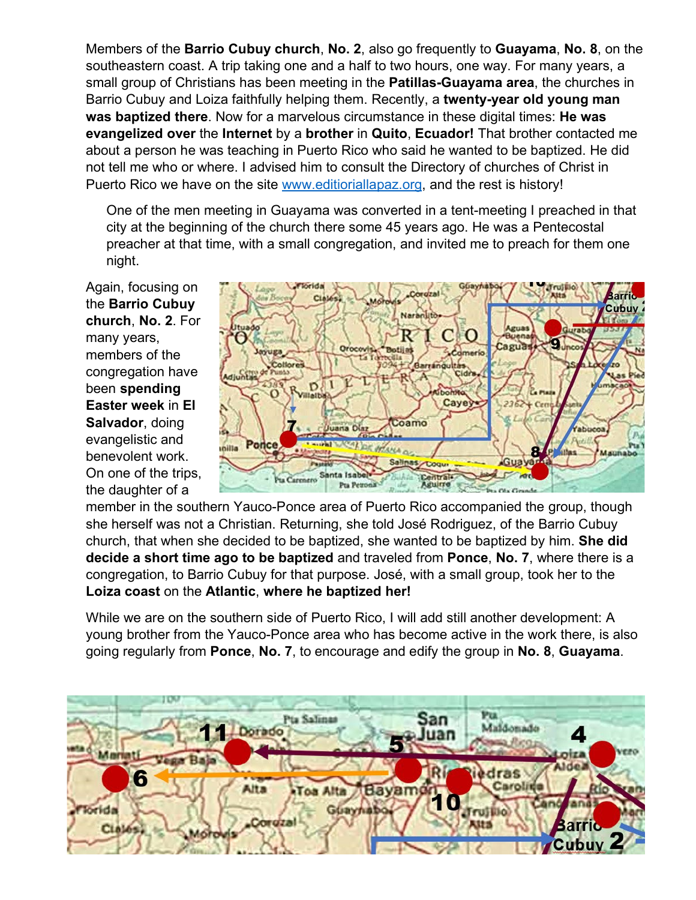Members of the **Barrio Cubuy church**, **No. 2**, also go frequently to **Guayama**, **No. 8**, on the southeastern coast. A trip taking one and a half to two hours, one way. For many years, a small group of Christians has been meeting in the **Patillas-Guayama area**, the churches in Barrio Cubuy and Loiza faithfully helping them. Recently, a **twenty-year old young man was baptized there**. Now for a marvelous circumstance in these digital times: **He was evangelized over** the **Internet** by a **brother** in **Quito**, **Ecuador!** That brother contacted me about a person he was teaching in Puerto Rico who said he wanted to be baptized. He did not tell me who or where. I advised him to consult the Directory of churches of Christ in Puerto Rico we have on the site [www.editioriallapaz.org,](http://www.editioriallapaz.org/) and the rest is history!

One of the men meeting in Guayama was converted in a tent-meeting I preached in that city at the beginning of the church there some 45 years ago. He was a Pentecostal preacher at that time, with a small congregation, and invited me to preach for them one night.

Again, focusing on the **Barrio Cubuy church**, **No. 2**. For many years, members of the congregation have been **spending Easter week** in **El Salvador**, doing evangelistic and benevolent work. On one of the trips, the daughter of a



member in the southern Yauco-Ponce area of Puerto Rico accompanied the group, though she herself was not a Christian. Returning, she told José Rodriguez, of the Barrio Cubuy church, that when she decided to be baptized, she wanted to be baptized by him. **She did decide a short time ago to be baptized** and traveled from **Ponce**, **No. 7**, where there is a congregation, to Barrio Cubuy for that purpose. José, with a small group, took her to the **Loiza coast** on the **Atlantic**, **where he baptized her!**

While we are on the southern side of Puerto Rico, I will add still another development: A young brother from the Yauco-Ponce area who has become active in the work there, is also going regularly from **Ponce**, **No. 7**, to encourage and edify the group in **No. 8**, **Guayama**.

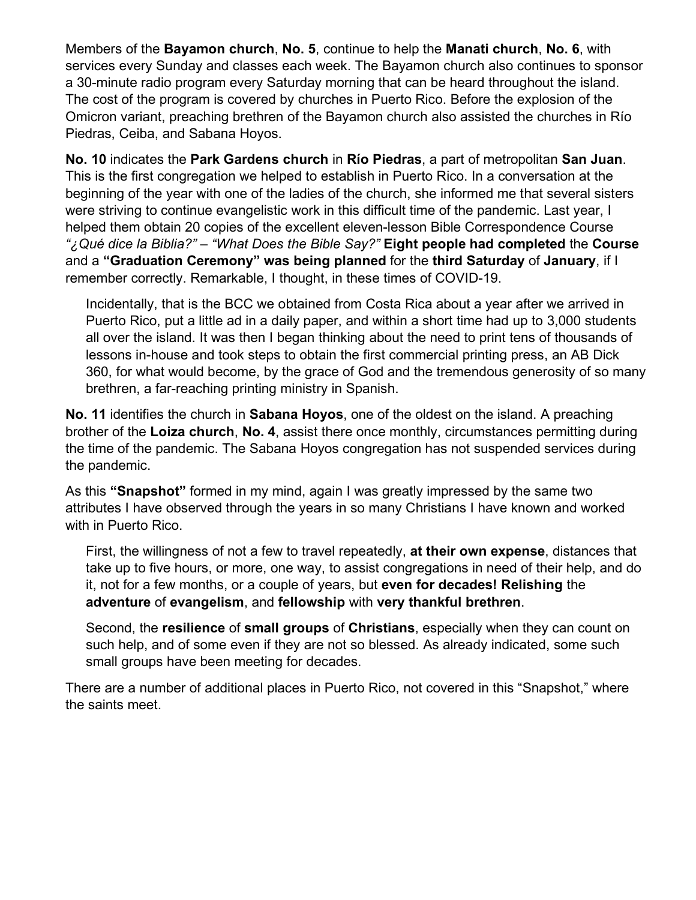Members of the **Bayamon church**, **No. 5**, continue to help the **Manati church**, **No. 6**, with services every Sunday and classes each week. The Bayamon church also continues to sponsor a 30-minute radio program every Saturday morning that can be heard throughout the island. The cost of the program is covered by churches in Puerto Rico. Before the explosion of the Omicron variant, preaching brethren of the Bayamon church also assisted the churches in Río Piedras, Ceiba, and Sabana Hoyos.

**No. 10** indicates the **Park Gardens church** in **Río Piedras**, a part of metropolitan **San Juan**. This is the first congregation we helped to establish in Puerto Rico. In a conversation at the beginning of the year with one of the ladies of the church, she informed me that several sisters were striving to continue evangelistic work in this difficult time of the pandemic. Last year, I helped them obtain 20 copies of the excellent eleven-lesson Bible Correspondence Course *"¿Qué dice la Biblia?" – "What Does the Bible Say?"* **Eight people had completed** the **Course** and a **"Graduation Ceremony" was being planned** for the **third Saturday** of **January**, if I remember correctly. Remarkable, I thought, in these times of COVID-19.

Incidentally, that is the BCC we obtained from Costa Rica about a year after we arrived in Puerto Rico, put a little ad in a daily paper, and within a short time had up to 3,000 students all over the island. It was then I began thinking about the need to print tens of thousands of lessons in-house and took steps to obtain the first commercial printing press, an AB Dick 360, for what would become, by the grace of God and the tremendous generosity of so many brethren, a far-reaching printing ministry in Spanish.

**No. 11** identifies the church in **Sabana Hoyos**, one of the oldest on the island. A preaching brother of the **Loiza church**, **No. 4**, assist there once monthly, circumstances permitting during the time of the pandemic. The Sabana Hoyos congregation has not suspended services during the pandemic.

As this **"Snapshot"** formed in my mind, again I was greatly impressed by the same two attributes I have observed through the years in so many Christians I have known and worked with in Puerto Rico.

First, the willingness of not a few to travel repeatedly, **at their own expense**, distances that take up to five hours, or more, one way, to assist congregations in need of their help, and do it, not for a few months, or a couple of years, but **even for decades! Relishing** the **adventure** of **evangelism**, and **fellowship** with **very thankful brethren**.

Second, the **resilience** of **small groups** of **Christians**, especially when they can count on such help, and of some even if they are not so blessed. As already indicated, some such small groups have been meeting for decades.

There are a number of additional places in Puerto Rico, not covered in this "Snapshot," where the saints meet.